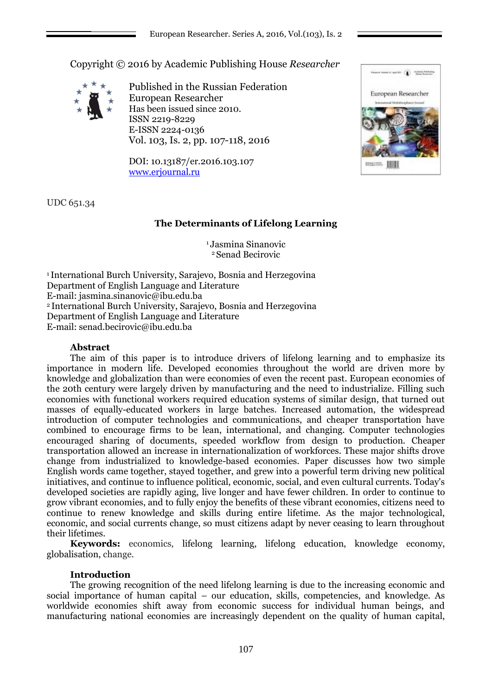Copyright © 2016 by Academic Publishing House *Researcher*



Published in the Russian Federation European Researcher Has been issued since 2010. ISSN 2219-8229 E-ISSN 2224-0136 Vol. 103, Is. 2, pp. 107-118, 2016

DOI: 10.13187/er.2016.103.107 [www.erjournal.ru](http://www.erjournal.ru/)



UDС 651.34

# **The Determinants of Lifelong Learning**

<sup>1</sup> Jasmina Sinanovic <sup>2</sup> Senad Becirovic

<sup>1</sup>International Burch University, Sarajevo, Bosnia and Herzegovina Department of English Language and Literature E-mail: jasmina.sinanovic@ibu.edu.ba <sup>2</sup>International Burch University, Sarajevo, Bosnia and Herzegovina Department of English Language and Literature E-mail: senad.becirovic@ibu.edu.ba

# **Abstract**

The aim of this paper is to introduce drivers of lifelong learning and to emphasize its importance in modern life. Developed economies throughout the world are driven more by knowledge and globalization than were economies of even the recent past. European economies of the 20th century were largely driven by manufacturing and the need to industrialize. Filling such economies with functional workers required education systems of similar design, that turned out masses of equally-educated workers in large batches. Increased automation, the widespread introduction of computer technologies and communications, and cheaper transportation have combined to encourage firms to be lean, international, and changing. Computer technologies encouraged sharing of documents, speeded workflow from design to production. Cheaper transportation allowed an increase in internationalization of workforces. These major shifts drove change from industrialized to knowledge-based economies. Paper discusses how two simple English words came together, stayed together, and grew into a powerful term driving new political initiatives, and continue to influence political, economic, social, and even cultural currents. Today's developed societies are rapidly aging, live longer and have fewer children. In order to continue to grow vibrant economies, and to fully enjoy the benefits of these vibrant economies, citizens need to continue to renew knowledge and skills during entire lifetime. As the major technological, economic, and social currents change, so must citizens adapt by never ceasing to learn throughout their lifetimes.

**Keywords:** economics, lifelong learning, lifelong education, knowledge economy, globalisation, change.

# **Introduction**

The growing recognition of the need lifelong learning is due to the increasing economic and social importance of human capital – our education, skills, competencies, and knowledge. As worldwide economies shift away from economic success for individual human beings, and manufacturing national economies are increasingly dependent on the quality of human capital,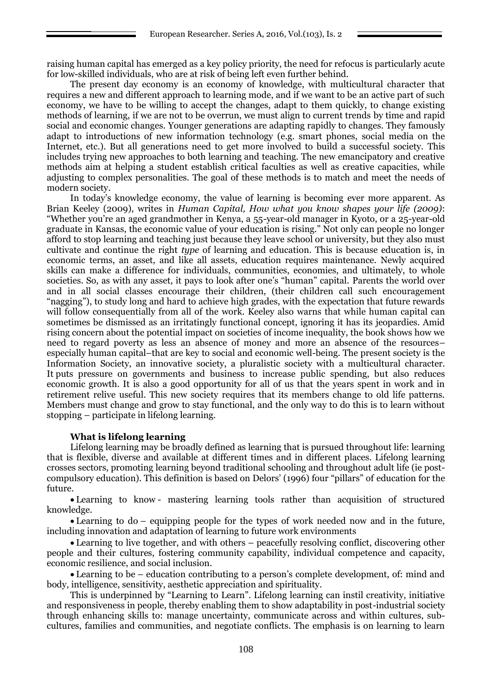raising human capital has emerged as a key policy priority, the need for refocus is particularly acute for low-skilled individuals, who are at risk of being left even further behind.

The present day economy is an economy of knowledge, with multicultural character that requires a new and different approach to learning mode, and if we want to be an active part of such economy, we have to be willing to accept the changes, adapt to them quickly, to change existing methods of learning, if we are not to be overrun, we must align to current trends by time and rapid social and economic changes. Younger generations are adapting rapidly to changes. They famously adapt to introductions of new information technology (e.g. smart phones, social media on the Internet, etc.). But all generations need to get more involved to build a successful society. This includes trying new approaches to both learning and teaching. The new emancipatory and creative methods aim at helping a student establish critical faculties as well as creative capacities, while adjusting to complex personalities. The goal of these methods is to match and meet the needs of modern society.

In today's knowledge economy, the value of learning is becoming ever more apparent. As Brian Keeley (2009), writes in *Human Capital, How what you know shapes your life (2009)*: "Whether you're an aged grandmother in Kenya, a 55-year-old manager in Kyoto, or a 25-year-old graduate in Kansas, the economic value of your education is rising." Not only can people no longer afford to stop learning and teaching just because they leave school or university, but they also must cultivate and continue the right *type* of learning and education. This is because education is, in economic terms, an asset, and like all assets, education requires maintenance. Newly acquired skills can make a difference for individuals, communities, economies, and ultimately, to whole societies. So, as with any asset, it pays to look after one's "human" capital. Parents the world over and in all social classes encourage their children, (their children call such encouragement "nagging"), to study long and hard to achieve high grades, with the expectation that future rewards will follow consequentially from all of the work. Keeley also warns that while human capital can sometimes be dismissed as an irritatingly functional concept, ignoring it has its jeopardies. Amid rising concern about the potential impact on societies of income inequality, the book shows how we need to regard poverty as less an absence of money and more an absence of the resources– especially human capital–that are key to social and economic well-being. The present society is the Information Society, an innovative society, a pluralistic society with a multicultural character. It puts pressure on governments and business to increase public spending, but also reduces economic growth. It is also a good opportunity for all of us that the years spent in work and in retirement relive useful. This new society requires that its members change to old life patterns. Members must change and grow to stay functional, and the only way to do this is to learn without stopping – participate in lifelong learning.

### **What is lifelong learning**

Lifelong learning may be broadly defined as learning that is pursued throughout life: learning that is flexible, diverse and available at different times and in different places. Lifelong learning crosses sectors, promoting learning beyond traditional schooling and throughout adult life (ie postcompulsory education). This definition is based on Delors' (1996) four "pillars" of education for the future.

 Learning to know - mastering learning tools rather than acquisition of structured knowledge.

• Learning to do – equipping people for the types of work needed now and in the future, including innovation and adaptation of learning to future work environments

 Learning to live together, and with others – peacefully resolving conflict, discovering other people and their cultures, fostering community capability, individual competence and capacity, economic resilience, and social inclusion.

 Learning to be – education contributing to a person's complete development, of: mind and body, intelligence, sensitivity, aesthetic appreciation and spirituality.

This is underpinned by "Learning to Learn". Lifelong learning can instil creativity, initiative and responsiveness in people, thereby enabling them to show adaptability in post-industrial society through enhancing skills to: manage uncertainty, communicate across and within cultures, subcultures, families and communities, and negotiate conflicts. The emphasis is on learning to learn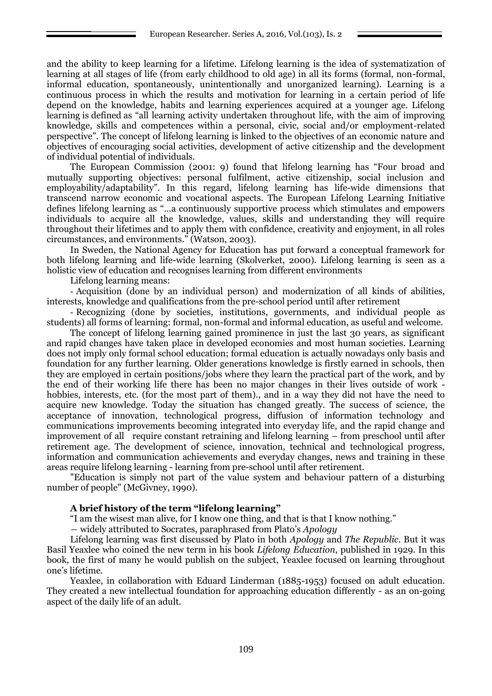and the ability to keep learning for a lifetime. Lifelong learning is the idea of systematization of learning at all stages of life (from early childhood to old age) in all its forms (formal, non-formal, informal education, spontaneously, unintentionally and unorganized learning). Learning is a continuous process in which the results and motivation for learning in a certain period of life depend on the knowledge, habits and learning experiences acquired at a younger age. Lifelong learning is defined as "all learning activity undertaken throughout life, with the aim of improving knowledge, skills and competences within a personal, civic, social and/or employment-related perspective". The concept of lifelong learning is linked to the objectives of an economic nature and objectives of encouraging social activities, development of active citizenship and the development of individual potential of individuals.

The European Commission (2001: 9) found that lifelong learning has "Four broad and mutually supporting objectives: personal fulfilment, active citizenship, social inclusion and employability/adaptability". In this regard, lifelong learning has life-wide dimensions that transcend narrow economic and vocational aspects. The European Lifelong Learning Initiative defines lifelong learning as "…a continuously supportive process which stimulates and empowers individuals to acquire all the knowledge, values, skills and understanding they will require throughout their lifetimes and to apply them with confidence, creativity and enjoyment, in all roles circumstances, and environments." (Watson, 2003).

In Sweden, the National Agency for Education has put forward a conceptual framework for both lifelong learning and life-wide learning (Skolverket, 2000). Lifelong learning is seen as a holistic view of education and recognises learning from different environments

Lifelong learning means:

- Acquisition (done by an individual person) and modernization of all kinds of abilities, interests, knowledge and qualifications from the pre-school period until after retirement

- Recognizing (done by societies, institutions, governments, and individual people as students) all forms of learning: formal, non-formal and informal education, as useful and welcome.

The concept of lifelong learning gained prominence in just the last 30 years, as significant and rapid changes have taken place in developed economies and most human societies. Learning does not imply only formal school education; formal education is actually nowadays only basis and foundation for any further learning. Older generations knowledge is firstly earned in schools, then they are employed in certain positions/jobs where they learn the practical part of the work, and by the end of their working life there has been no major changes in their lives outside of work hobbies, interests, etc. (for the most part of them)., and in a way they did not have the need to acquire new knowledge. Today the situation has changed greatly. The success of science, the acceptance of innovation, technological progress, diffusion of information technology and communications improvements becoming integrated into everyday life, and the rapid change and improvement of all require constant retraining and lifelong learning – from preschool until after retirement age. The development of science, innovation, technical and technological progress, information and communication achievements and everyday changes, news and training in these areas require lifelong learning - learning from pre-school until after retirement.

"Education is simply not part of the value system and behaviour pattern of a disturbing number of people" (McGivney, 1990).

### **A brief history of the term "lifelong learning"**

"I am the wisest man alive, for I know one thing, and that is that I know nothing."

― widely attributed to Socrates, paraphrased from Plato's *Apology*

Lifelong learning was first discussed by Plato in both *Apology* and *The Republic*. But it was Basil Yeaxlee who coined the new term in his book *Lifelong Education*, published in 1929. In this book, the first of many he would publish on the subject, Yeaxlee focused on learning throughout one's lifetime.

Yeaxlee, in collaboration with Eduard Linderman (1885-1953) focused on adult education. They created a new intellectual foundation for approaching education differently - as an on-going aspect of the daily life of an adult.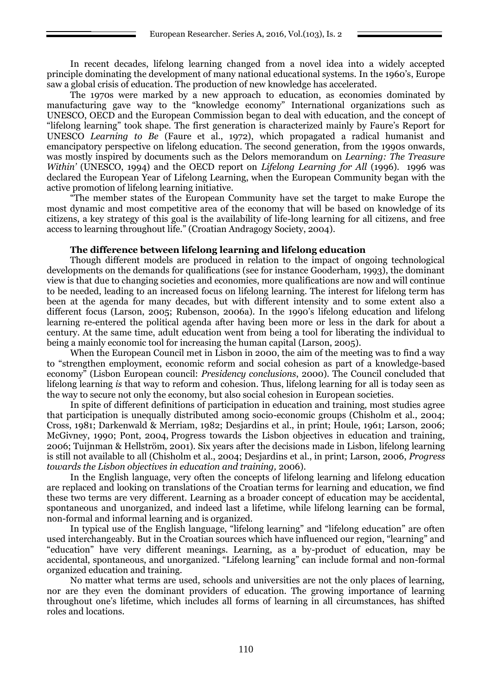In recent decades, lifelong learning changed from a novel idea into a widely accepted principle dominating the development of many national educational systems. In the 1960's, Europe saw a global crisis of education. The production of new knowledge has accelerated.

The 1970s were marked by a new approach to education, as economies dominated by manufacturing gave way to the "knowledge economy" International organizations such as UNESCO, OECD and the European Commission began to deal with education, and the concept of "lifelong learning" took shape. The first generation is characterized mainly by Faure's Report for UNESCO *Learning to Be* (Faure et al., 1972), which propagated a radical humanist and emancipatory perspective on lifelong education. The second generation, from the 1990s onwards, was mostly inspired by documents such as the Delors memorandum on *Learning: The Treasure Within'* (UNESCO, 1994) and the OECD report on *Lifelong Learning for All* (1996). 1996 was declared the European Year of Lifelong Learning, when the European Community began with the active promotion of lifelong learning initiative.

"The member states of the European Community have set the target to make Europe the most dynamic and most competitive area of the economy that will be based on knowledge of its citizens, a key strategy of this goal is the availability of life-long learning for all citizens, and free access to learning throughout life." (Croatian Andragogy Society, 2004).

### **The difference between lifelong learning and lifelong education**

Though different models are produced in relation to the impact of ongoing technological developments on the demands for qualifications (see for instance Gooderham, 1993), the dominant view is that due to changing societies and economies, more qualifications are now and will continue to be needed, leading to an increased focus on lifelong learning. The interest for lifelong term has been at the agenda for many decades, but with different intensity and to some extent also a different focus (Larson, 2005; Rubenson, 2006a). In the 1990's lifelong education and lifelong learning re-entered the political agenda after having been more or less in the dark for about a century. At the same time, adult education went from being a tool for liberating the individual to being a mainly economic tool for increasing the human capital (Larson, 2005).

When the European Council met in Lisbon in 2000, the aim of the meeting was to find a way to "strengthen employment, economic reform and social cohesion as part of a knowledge-based economy" (Lisbon European council: *Presidency conclusions*, 2000). The Council concluded that lifelong learning *is* that way to reform and cohesion. Thus, lifelong learning for all is today seen as the way to secure not only the economy, but also social cohesion in European societies.

In spite of different definitions of participation in education and training, most studies agree that participation is unequally distributed among socio-economic groups (Chisholm et al., 2004; Cross, 1981; Darkenwald & Merriam, 1982; Desjardins et al., in print; Houle, 1961; Larson, 2006; McGivney, 1990; Pont, 2004, Progress towards the Lisbon objectives in education and training, 2006; Tuijnman & Hellström, 2001). Six years after the decisions made in Lisbon, lifelong learning is still not available to all (Chisholm et al., 2004; Desjardins et al., in print; Larson, 2006, *Progress towards the Lisbon objectives in education and training,* 2006).

In the English language, very often the concepts of lifelong learning and lifelong education are replaced and looking on translations of the Croatian terms for learning and education, we find these two terms are very different. Learning as a broader concept of education may be accidental, spontaneous and unorganized, and indeed last a lifetime, while lifelong learning can be formal, non-formal and informal learning and is organized.

In typical use of the English language, "lifelong learning" and "lifelong education" are often used interchangeably. But in the Croatian sources which have influenced our region, "learning" and "education" have very different meanings. Learning, as a by-product of education, may be accidental, spontaneous, and unorganized. "Lifelong learning" can include formal and non-formal organized education and training.

No matter what terms are used, schools and universities are not the only places of learning, nor are they even the dominant providers of education. The growing importance of learning throughout one's lifetime, which includes all forms of learning in all circumstances, has shifted roles and locations.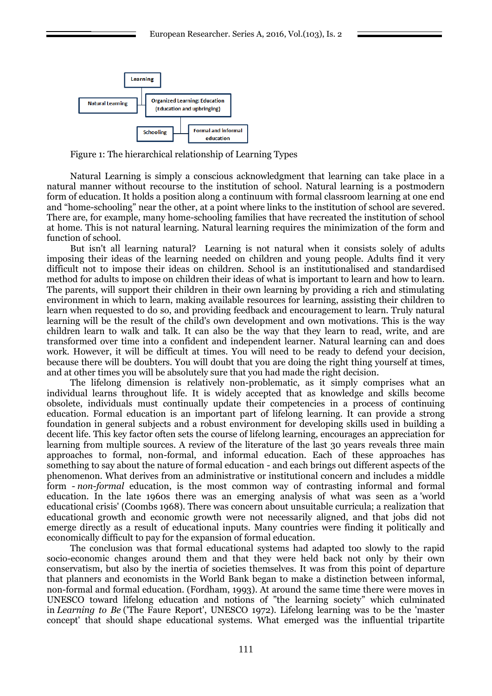

Figure 1: The hierarchical relationship of Learning Types

Natural Learning is simply a conscious acknowledgment that learning can take place in a natural manner without recourse to the institution of school. Natural learning is a postmodern form of education. It holds a position along a continuum with formal classroom learning at one end and "home-schooling" near the other, at a point where links to the institution of school are severed. There are, for example, many home-schooling families that have recreated the institution of school at home. This is not natural learning. Natural learning requires the minimization of the form and function of school.

But isn't all learning natural? Learning is not natural when it consists solely of adults imposing their ideas of the learning needed on children and young people. Adults find it very difficult not to impose their ideas on children. School is an institutionalised and standardised method for adults to impose on children their ideas of what is important to learn and how to learn. The parents, will support their children in their own learning by providing a rich and stimulating environment in which to learn, making available resources for learning, assisting their children to learn when requested to do so, and providing feedback and encouragement to learn. Truly natural learning will be the result of the child's own development and own motivations. This is the way children learn to walk and talk. It can also be the way that they learn to read, write, and are transformed over time into a confident and independent learner. Natural learning can and does work. However, it will be difficult at times. You will need to be ready to defend your decision, because there will be doubters. You will doubt that you are doing the right thing yourself at times, and at other times you will be absolutely sure that you had made the right decision.

The lifelong dimension is relatively non-problematic, as it simply comprises what an individual learns throughout life. It is widely accepted that as knowledge and skills become obsolete, individuals must continually update their competencies in a process of continuing education. Formal education is an important part of lifelong learning. It can provide a strong foundation in general subjects and a robust environment for developing skills used in building a decent life. This key factor often sets the course of lifelong learning, encourages an appreciation for learning from multiple sources. A review of the literature of the last 30 years reveals three main approaches to formal, non-formal, and informal education. Each of these approaches has something to say about the nature of formal education - and each brings out different aspects of the phenomenon. What derives from an administrative or institutional concern and includes a middle form - *[non-formal](http://www.infed.org/biblio/b-nonfor.htm)* education, is the most common way of contrasting informal and formal education. In the late 1960s there was an emerging analysis of what was seen as a 'world educational crisis' (Coombs 1968). There was concern about unsuitable curricula; a realization that educational growth and economic growth were not necessarily aligned, and that jobs did not emerge directly as a result of educational inputs. Many countries were finding it politically and economically difficult to pay for the expansion of formal education.

The conclusion was that formal educational systems had adapted too slowly to the rapid socio-economic changes around them and that they were held back not only by their own conservatism, but also by the inertia of societies themselves. It was from this point of departure that planners and economists in the World Bank began to make a distinction between informal, non-formal and formal education. (Fordham, 1993). At around the same time there were moves in UNESCO toward lifelong education and notions of "the learning society" which culminated in *Learning to Be* ('The Faure Report', UNESCO 1972). Lifelong learning was to be the 'master concept' that should shape educational systems. What emerged was the influential tripartite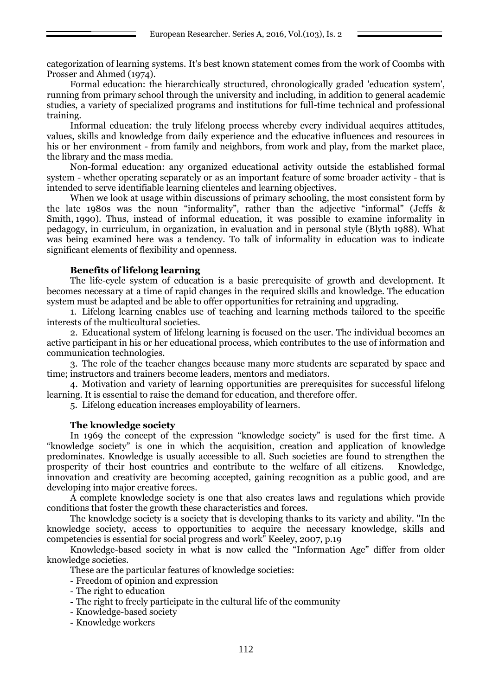categorization of learning systems. It's best known statement comes from the work of Coombs with Prosser and Ahmed (1974).

Formal education: the hierarchically structured, chronologically graded 'education system', running from primary school through the university and including, in addition to general academic studies, a variety of specialized programs and institutions for full-time technical and professional training.

Informal education: the truly lifelong process whereby every individual acquires attitudes, values, skills and knowledge from daily experience and the educative influences and resources in his or her environment - from family and neighbors, from work and play, from the market place, the library and the mass media.

Non-formal education: any organized educational activity outside the established formal system - whether operating separately or as an important feature of some broader activity - that is intended to serve identifiable learning clienteles and learning objectives.

When we look at usage within discussions of primary schooling, the most consistent form by the late 1980s was the noun "informality", rather than the adjective "informal" ([Jeffs &](http://www.infed.org/archives/usinginformaleducation/jeffsandsmith1.htm)  [Smith,](http://www.infed.org/archives/usinginformaleducation/jeffsandsmith1.htm) 1990). Thus, instead of informal education, it was possible to examine informality in pedagogy, in curriculum, in organization, in evaluation and in personal style (Blyth 1988). What was being examined here was a tendency. To talk of informality in education was to indicate significant elements of flexibility and openness.

### **Benefits of lifelong learning**

The life-cycle system of education is a basic prerequisite of growth and development. It becomes necessary at a time of rapid changes in the required skills and knowledge. The education system must be adapted and be able to offer opportunities for retraining and upgrading.

1. Lifelong learning enables use of teaching and learning methods tailored to the specific interests of the multicultural societies.

2. Educational system of lifelong learning is focused on the user. The individual becomes an active participant in his or her educational process, which contributes to the use of information and communication technologies.

3. The role of the teacher changes because many more students are separated by space and time; instructors and trainers become leaders, mentors and mediators.

4. Motivation and variety of learning opportunities are prerequisites for successful lifelong learning. It is essential to raise the demand for education, and therefore offer.

5. Lifelong education increases employability of learners.

### **The knowledge society**

In 1969 the concept of the expression "knowledge society" is used for the first time. A "knowledge society" is one in which the acquisition, creation and application of knowledge predominates. Knowledge is usually accessible to all. Such societies are found to strengthen the prosperity of their host countries and contribute to the welfare of all citizens. Knowledge, innovation and creativity are becoming accepted, gaining recognition as a public good, and are developing into major creative forces.

A complete knowledge society is one that also creates laws and regulations which provide conditions that foster the growth these characteristics and forces.

The knowledge society is a society that is developing thanks to its variety and ability. "In the knowledge society, access to opportunities to acquire the necessary knowledge, skills and competencies is essential for social progress and work" Keeley, 2007, p.19

Knowledge-based society in what is now called the "Information Age" differ from older knowledge societies.

These are the particular features of knowledge societies:

- Freedom of opinion and expression
- The right to education
- The right to freely participate in the cultural life of the community
- Knowledge-based society
- Knowledge workers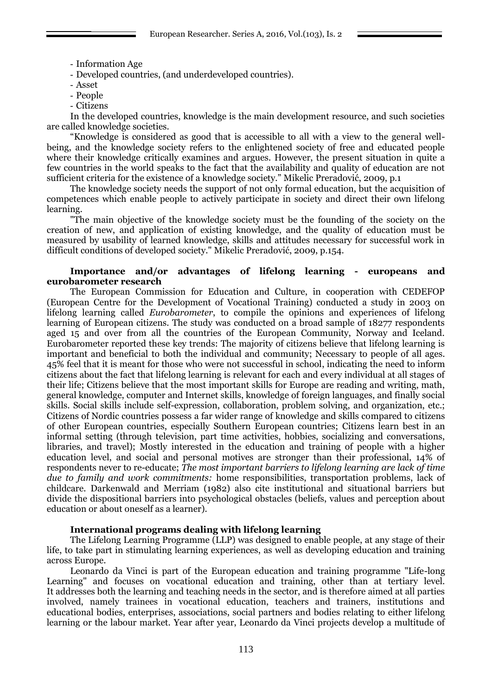- Information Age
- Developed countries, (and underdeveloped countries).
- Asset
- People
- Citizens

In the developed countries, knowledge is the main development resource, and such societies are called knowledge societies.

"Knowledge is considered as good that is accessible to all with a view to the general wellbeing, and the knowledge society refers to the enlightened society of free and educated people where their knowledge critically examines and argues. However, the present situation in quite a few countries in the world speaks to the fact that the availability and quality of education are not sufficient criteria for the existence of a knowledge society." Mikelic Preradović, 2009, p.1

The knowledge society needs the support of not only formal education, but the acquisition of competences which enable people to actively participate in society and direct their own lifelong learning.

"The main objective of the knowledge society must be the founding of the society on the creation of new, and application of existing knowledge, and the quality of education must be measured by usability of learned knowledge, skills and attitudes necessary for successful work in difficult conditions of developed society." Mikelic Preradović, 2009, p.154.

#### **Importance and/or advantages of lifelong learning - europeans and eurobarometer research**

The European Commission for Education and Culture, in cooperation with CEDEFOP (European Centre for the Development of Vocational Training) conducted a study in 2003 on lifelong learning called *Eurobarometer*, to compile the opinions and experiences of lifelong learning of European citizens. The study was conducted on a broad sample of 18277 respondents aged 15 and over from all the countries of the European Community, Norway and Iceland. Eurobarometer reported these key trends: The majority of citizens believe that lifelong learning is important and beneficial to both the individual and community; Necessary to people of all ages. 45% feel that it is meant for those who were not successful in school, indicating the need to inform citizens about the fact that lifelong learning is relevant for each and every individual at all stages of their life; Citizens believe that the most important skills for Europe are reading and writing, math, general knowledge, computer and Internet skills, knowledge of foreign languages, and finally social skills. Social skills include self-expression, collaboration, problem solving, and organization, etc.; Citizens of Nordic countries possess a far wider range of knowledge and skills compared to citizens of other European countries, especially Southern European countries; Citizens learn best in an informal setting (through television, part time activities, hobbies, socializing and conversations, libraries, and travel); Mostly interested in the education and training of people with a higher education level, and social and personal motives are stronger than their professional, 14% of respondents never to re-educate; *The most important barriers to lifelong learning are lack of time due to family and work commitments:* home responsibilities, transportation problems, lack of childcare*.* Darkenwald and Merriam (1982) also cite institutional and situational barriers but divide the dispositional barriers into psychological obstacles (beliefs, values and perception about education or about oneself as a learner).

### **International programs dealing with lifelong learning**

The Lifelong Learning Programme (LLP) was designed to enable people, at any stage of their life, to take part in stimulating learning experiences, as well as developing education and training across Europe.

Leonardo da Vinci is part of the European education and training programme "Life-long Learning" and focuses on vocational education and training, other than at tertiary level. It addresses both the learning and teaching needs in the sector, and is therefore aimed at all parties involved, namely trainees in vocational education, teachers and trainers, institutions and educational bodies, enterprises, associations, social partners and bodies relating to either lifelong learning or the labour market. Year after year, Leonardo da Vinci projects develop a multitude of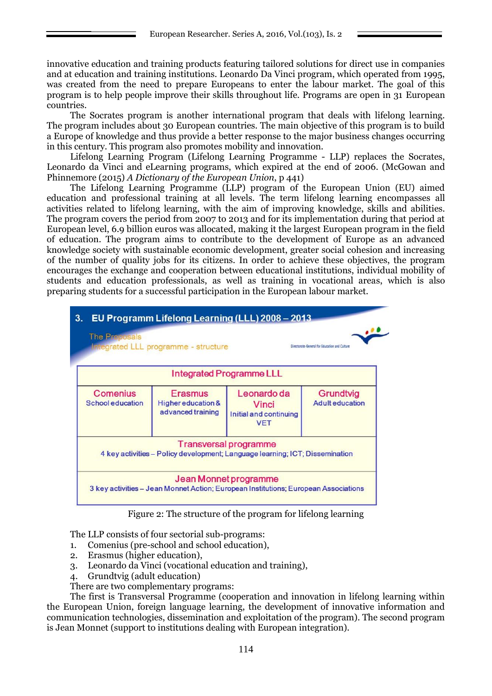innovative education and training products featuring tailored solutions for direct use in companies and at education and training institutions. Leonardo Da Vinci program, which operated from 1995, was created from the need to prepare Europeans to enter the labour market. The goal of this program is to help people improve their skills throughout life. Programs are open in 31 European countries.

The Socrates program is another international program that deals with lifelong learning. The program includes about 30 European countries. The main objective of this program is to build a Europe of knowledge and thus provide a better response to the major business changes occurring in this century. This program also promotes mobility and innovation.

Lifelong Learning Program (Lifelong Learning Programme - LLP) replaces the Socrates, Leonardo da Vinci and eLearning programs, which expired at the end of 2006. (McGowan and Phinnemore (2015) *A Dictionary of the European Union*, p 441)

The Lifelong Learning Programme (LLP) program of the European Union (EU) aimed education and professional training at all levels. The term lifelong learning encompasses all activities related to lifelong learning, with the aim of improving knowledge, skills and abilities. The program covers the period from 2007 to 2013 and for its implementation during that period at European level, 6.9 billion euros was allocated, making it the largest European program in the field of education. The program aims to contribute to the development of Europe as an advanced knowledge society with sustainable economic development, greater social cohesion and increasing of the number of quality jobs for its citizens. In order to achieve these objectives, the program encourages the exchange and cooperation between educational institutions, individual mobility of students and education professionals, as well as training in vocational areas, which is also preparing students for a successful participation in the European labour market.

| 3.<br><b>The Proposals</b>                 | <b>Integrated LLL programme - structure</b>               | EU Programm Lifelong Learning (LLL) 2008 - 2013                                                              | Directorate-General for Education and Culture |
|--------------------------------------------|-----------------------------------------------------------|--------------------------------------------------------------------------------------------------------------|-----------------------------------------------|
|                                            |                                                           | <b>Integrated Programme LLL</b>                                                                              |                                               |
| <b>Comenius</b><br><b>School education</b> | <b>Erasmus</b><br>Higher education &<br>advanced training | Leonardo da<br><b>Vinci</b><br>Initial and continuing<br><b>VET</b>                                          | Grundtvig<br><b>Adulteducation</b>            |
|                                            |                                                           | <b>Transversal programme</b><br>4 key activities - Policy development; Language learning; ICT; Dissemination |                                               |
|                                            |                                                           | Jean Monnet programme<br>3 key activities – Jean Monnet Action; European Institutions; European Associations |                                               |

Figure 2: The structure of the program for lifelong learning

The LLP consists of four sectorial sub-programs:

- 1. Comenius (pre-school and school education),
- 2. Erasmus (higher education),
- 3. Leonardo da Vinci (vocational education and training),
- 4. Grundtvig (adult education)

There are two complementary programs:

The first is Transversal Programme (cooperation and innovation in lifelong learning within the European Union, foreign language learning, the development of innovative information and communication technologies, dissemination and exploitation of the program). The second program is Jean Monnet (support to institutions dealing with European integration).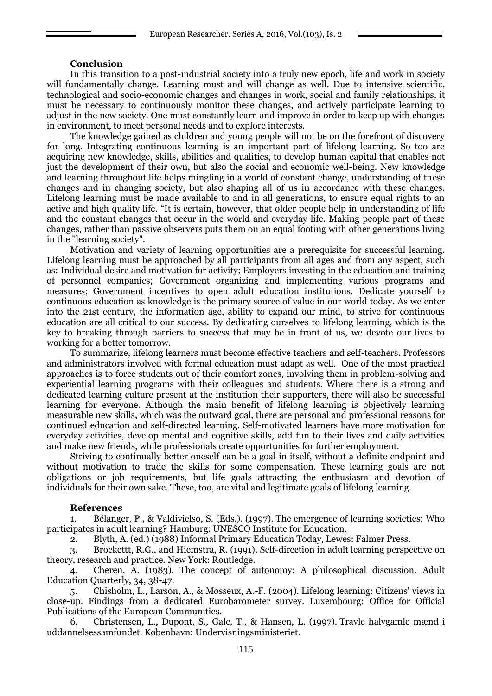#### **Conclusion**

In this transition to a post-industrial society into a truly new epoch, life and work in society will fundamentally change. Learning must and will change as well. Due to intensive scientific, technological and socio-economic changes and changes in work, social and family relationships, it must be necessary to continuously monitor these changes, and actively participate learning to adjust in the new society. One must constantly learn and improve in order to keep up with changes in environment, to meet personal needs and to explore interests.

The knowledge gained as children and young people will not be on the forefront of discovery for long. Integrating continuous learning is an important part of lifelong learning. So too are acquiring new knowledge, skills, abilities and qualities, to develop human capital that enables not just the development of their own, but also the social and economic well-being. New knowledge and learning throughout life helps mingling in a world of constant change, understanding of these changes and in changing society, but also shaping all of us in accordance with these changes. Lifelong learning must be made available to and in all generations, to ensure equal rights to an active and high quality life. "It is certain, however, that older people help in understanding of life and the constant changes that occur in the world and everyday life. Making people part of these changes, rather than passive observers puts them on an equal footing with other generations living in the "learning society".

Motivation and variety of learning opportunities are a prerequisite for successful learning. Lifelong learning must be approached by all participants from all ages and from any aspect, such as: Individual desire and motivation for activity; Employers investing in the education and training of personnel companies; Government organizing and implementing various programs and measures; Government incentives to open adult education institutions. Dedicate yourself to continuous education as knowledge is the primary source of value in our world today. As we enter into the 21st century, the information age, ability to expand our mind, to strive for continuous education are all critical to our success. By dedicating ourselves to lifelong learning, which is the key to breaking through barriers to success that may be in front of us, we devote our lives to working for a better tomorrow.

To summarize, lifelong learners must become effective teachers and self-teachers. Professors and administrators involved with formal education must adapt as well. One of the most practical approaches is to force students out of their comfort zones, involving them in problem-solving and experiential learning programs with their colleagues and students. Where there is a strong and dedicated learning culture present at the institution their supporters, there will also be successful learning for everyone. Although the main benefit of lifelong learning is objectively learning measurable new skills, which was the outward goal, there are personal and professional reasons for continued education and self-directed learning. Self-motivated learners have more motivation for everyday activities, develop mental and cognitive skills, add fun to their lives and daily activities and make new friends, while professionals create opportunities for further employment.

Striving to continually better oneself can be a goal in itself, without a definite endpoint and without motivation to trade the skills for some compensation. These learning goals are not obligations or job requirements, but life goals attracting the enthusiasm and devotion of individuals for their own sake. These, too, are vital and legitimate goals of lifelong learning.

#### **References**

1. Bélanger, P., & Valdivielso, S. (Eds.). (1997). The emergence of learning societies: Who participates in adult learning? Hamburg: UNESCO Institute for Education.

2. Blyth, A. (ed.) (1988) Informal Primary Education Today, Lewes: Falmer Press.

3. Brockettt, R.G., and Hiemstra, R. (1991). Self-direction in adult learning perspective on theory, research and practice. New York: Routledge.

4. Cheren, A. (1983). The concept of autonomy: A philosophical discussion. Adult Education Quarterly, 34, 38-47.

5. Chisholm, L., Larson, A., & Mosseux, A.-F. (2004). Lifelong learning: Citizens' views in close-up. Findings from a dedicated Eurobarometer survey. Luxembourg: Office for Official Publications of the European Communities.

6. Christensen, L., Dupont, S., Gale, T., & Hansen, L. (1997). Travle halvgamle mænd i uddannelsessamfundet. København: Undervisningsministeriet.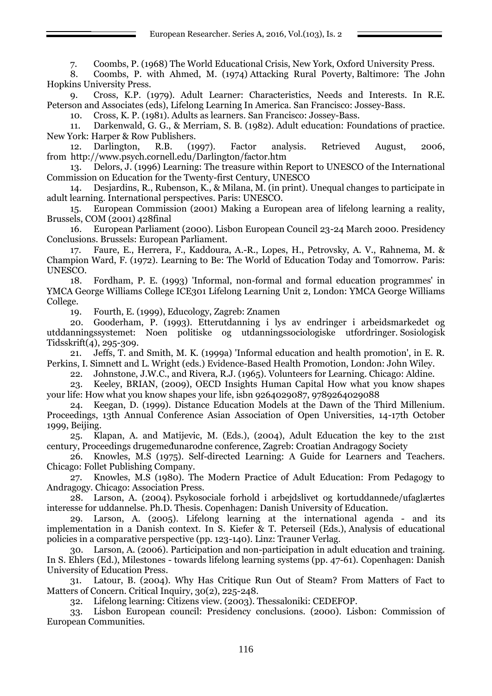European Researcher. Series A, 2016, Vol.(103), Is. 2

7. Coombs, P. (1968) The World Educational Crisis, New York, Oxford University Press.

8. Coombs, P. with Ahmed, M. (1974) Attacking Rural Poverty, Baltimore: The John Hopkins University Press.

9. Cross, K.P. (1979). Adult Learner: Characteristics, Needs and Interests. In R.E. Peterson and Associates (eds), Lifelong Learning In America. San Francisco: Jossey-Bass.

10. Cross, K. P. (1981). Adults as learners. San Francisco: Jossey-Bass.

11. Darkenwald, G. G., & Merriam, S. B. (1982). Adult education: Foundations of practice. New York: Harper & Row Publishers.

12. Darlington, R.B. (1997). Factor analysis. Retrieved August, 2006, from http://www.psych.cornell.edu/Darlington/factor.htm

13. Delors, J. (1996) Learning: The treasure within Report to UNESCO of the International Commission on Education for the Twenty-first Century, UNESCO

14. Desjardins, R., Rubenson, K., & Milana, M. (in print). Unequal changes to participate in adult learning. International perspectives. Paris: UNESCO.

15. European Commission (2001) Making a European area of lifelong learning a reality, Brussels, COM (2001) 428final

16. European Parliament (2000). Lisbon European Council 23-24 March 2000. Presidency Conclusions. Brussels: European Parliament.

17. Faure, E., Herrera, F., Kaddoura, A.-R., Lopes, H., Petrovsky, A. V., Rahnema, M. & Champion Ward, F. (1972). Learning to Be: The World of Education Today and Tomorrow. Paris: UNESCO.

18. Fordham, P. E. (1993) 'Informal, non-formal and formal education programmes' in YMCA George Williams College ICE301 Lifelong Learning Unit 2, London: YMCA George Williams College.

19. Fourth, E. (1999), Educology, Zagreb: Znamen

20. Gooderham, P. (1993). Etterutdanning i lys av endringer i arbeidsmarkedet og utddanningssystemet: Noen politiske og utdanningssociologiske utfordringer. Sosiologisk Tidsskrift(4), 295-309.

21. Jeffs, T. and Smith, M. K. (1999a) 'Informal education and health promotion', in E. R. Perkins, I. Simnett and L. Wright (eds.) Evidence-Based Health Promotion, London: John Wiley.

22. Johnstone, J.W.C., and Rivera, R.J. (1965). Volunteers for Learning. Chicago: Aldine.

23. Keeley, BRIAN, (2009), OECD Insights Human Capital How what you know shapes your life: How what you know shapes your life, isbn 9264029087, 9789264029088

24. Keegan, D. (1999). Distance Education Models at the Dawn of the Third Millenium. Proceedings, 13th Annual Conference Asian Association of Open Universities, 14-17th October 1999, Beijing.

25. Klapan, A. and Matijevic, M. (Eds.), (2004), Adult Education the key to the 21st century, Proceedings drugemeđunarodne conference, Zagreb: Croatian Andragogy Society

26. Knowles, M.S (1975). Self-directed Learning: A Guide for Learners and Teachers. Chicago: Follet Publishing Company.

27. Knowles, M.S (1980). The Modern Practice of Adult Education: From Pedagogy to Andragogy. Chicago: Association Press.

28. Larson, A. (2004). Psykosociale forhold i arbejdslivet og kortuddannede/ufaglærtes interesse for uddannelse. Ph.D. Thesis. Copenhagen: Danish University of Education.

29. Larson, A. (2005). Lifelong learning at the international agenda - and its implementation in a Danish context. In S. Kiefer & T. Peterseil (Eds.), Analysis of educational policies in a comparative perspective (pp. 123-140). Linz: Trauner Verlag.

30. Larson, A. (2006). Participation and non-participation in adult education and training. In S. Ehlers (Ed.), Milestones - towards lifelong learning systems (pp. 47-61). Copenhagen: Danish University of Education Press.

31. Latour, B. (2004). Why Has Critique Run Out of Steam? From Matters of Fact to Matters of Concern. Critical Inquiry, 30(2), 225-248.

32. Lifelong learning: Citizens view. (2003). Thessaloniki: CEDEFOP.

33. Lisbon European council: Presidency conclusions. (2000). Lisbon: Commission of European Communities.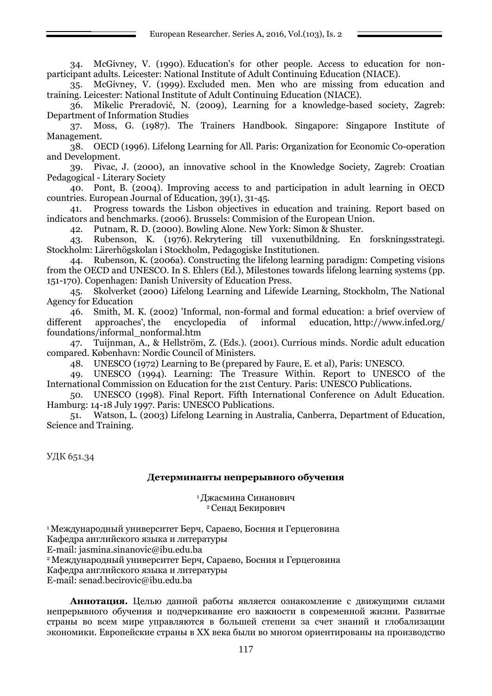34. McGivney, V. (1990). Education's for other people. Access to education for nonparticipant adults. Leicester: National Institute of Adult Continuing Education (NIACE).

35. McGivney, V. (1999). Excluded men. Men who are missing from education and training. Leicester: National Institute of Adult Continuing Education (NIACE).

36. Mikelic Preradović, N. (2009), Learning for a knowledge-based society, Zagreb: Department of Information Studies

37. Moss, G. (1987). The Trainers Handbook. Singapore: Singapore Institute of Management.

38. OECD (1996). Lifelong Learning for All. Paris: Organization for Economic Co-operation and Development.

39. Pivac, J. (2000), an innovative school in the Knowledge Society, Zagreb: Croatian Pedagogical - Literary Society

40. Pont, B. (2004). Improving access to and participation in adult learning in OECD countries. European Journal of Education, 39(1), 31-45.

41. Progress towards the Lisbon objectives in education and training. Report based on indicators and benchmarks. (2006). Brussels: Commision of the European Union.

42. Putnam, R. D. (2000). Bowling Alone. New York: Simon & Shuster.

43. Rubenson, K. (1976). Rekrytering till vuxenutbildning. En forskningsstrategi. Stockholm: Lärerhögskolan i Stockholm, Pedagogiske Institutionen.

44. Rubenson, K. (2006a). Constructing the lifelong learning paradigm: Competing visions from the OECD and UNESCO. In S. Ehlers (Ed.), Milestones towards lifelong learning systems (pp. 151-170). Copenhagen: Danish University of Education Press.

45. Skolverket (2000) Lifelong Learning and Lifewide Learning, Stockholm, The National Agency for Education

46. Smith, M. K. (2002) 'Informal, non-formal and formal education: a brief overview of different approaches', the encyclopedia of informal education, http://www.infed.org/ foundations/informal\_nonformal.htm

47. Tuijnman, A., & Hellström, Z. (Eds.). (2001). Currious minds. Nordic adult education compared. København: Nordic Council of Ministers.

48. UNESCO (1972) Learning to Be (prepared by Faure, E. et al), Paris: UNESCO.

49. UNESCO (1994). Learning: The Treasure Within. Report to UNESCO of the International Commission on Education for the 21st Century. Paris: UNESCO Publications.

50. UNESCO (1998). Final Report. Fifth International Conference on Adult Education. Hamburg: 14-18 July 1997. Paris: UNESCO Publications.

51. Watson, L. (2003) Lifelong Learning in Australia, Canberra, Department of Education, Science and Training.

УДК 651.34

### **Детерминанты непрерывного обучения**

<sup>1</sup> Джасмина Синанович <sup>2</sup>Сенад Бекирович

<sup>1</sup>Международный университет Берч, Сараево, Босния и Герцеговина Кафедра английского языка и литературы E-mail: jasmina.sinanovic@ibu.edu.ba <sup>2</sup>Международный университет Берч, Сараево, Босния и Герцеговина Кафедра английского языка и литературы E-mail: senad.becirovic@ibu.edu.ba

**Аннотация.** Целью данной работы является ознакомление с движущими силами непрерывного обучения и подчеркивание его важности в современной жизни. Развитые страны во всем мире управляются в большей степени за счет знаний и глобализации экономики. Европейские страны в XX века были во многом ориентированы на производство